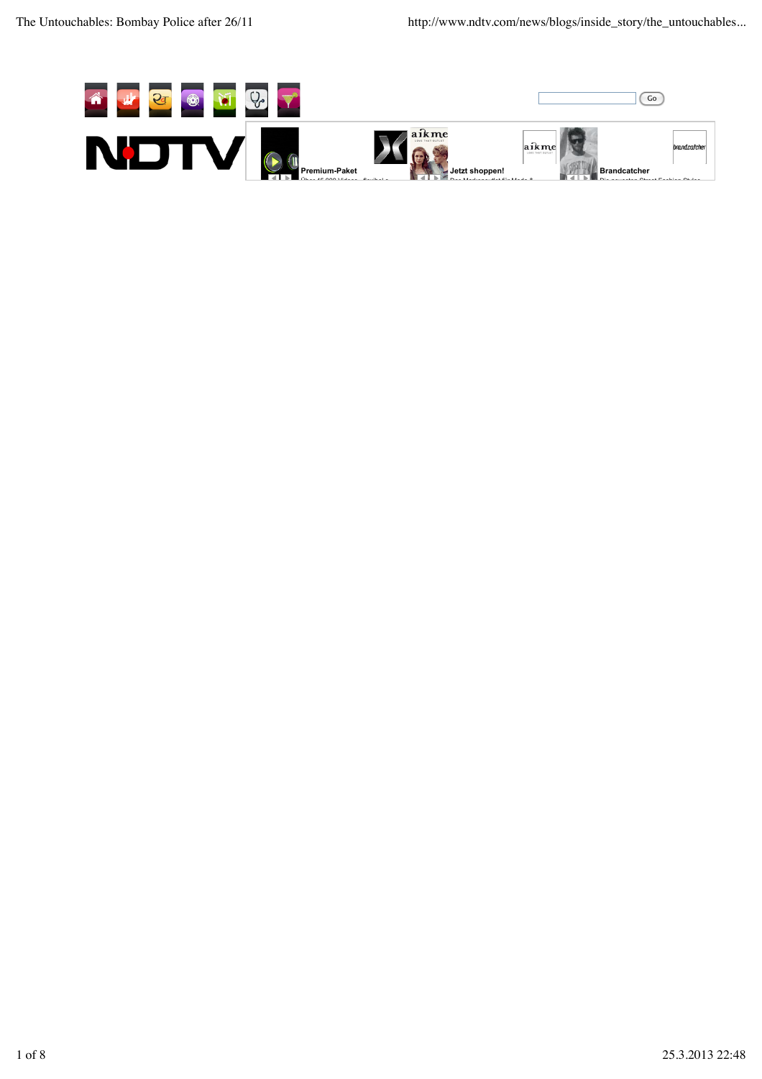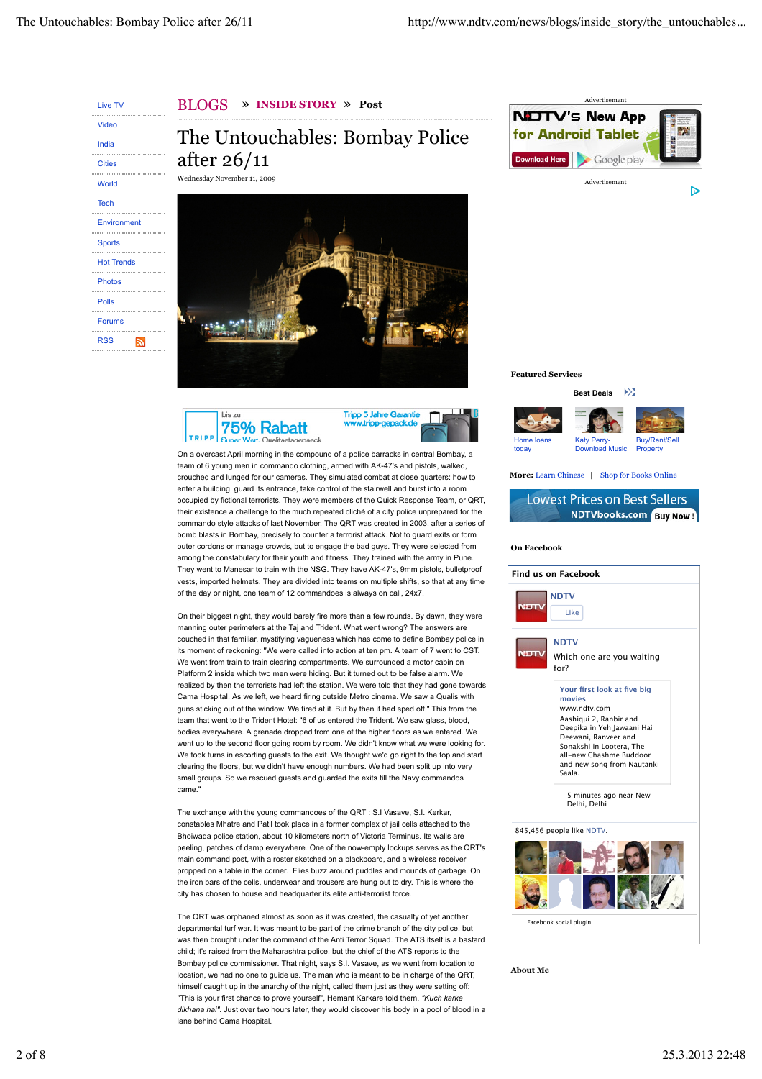Live TV Video India **Cities** World Tech Environmen **Sports** Hot Trends Photos Polls Forums RSS  $\overline{\mathbf{a}}$  BLOGS **» INSIDE STORY » Post**

The Untouchables: Bombay Police after 26/11 Wednesday November 11, 2009







On a overcast April morning in the compound of a police barracks in central Bombay, a team of 6 young men in commando clothing, armed with AK-47's and pistols, walked, crouched and lunged for our cameras. They simulated combat at close quarters: how to enter a building, guard its entrance, take control of the stairwell and burst into a room occupied by fictional terrorists. They were members of the Quick Response Team, or QRT, their existence a challenge to the much repeated cliché of a city police unprepared for the commando style attacks of last November. The QRT was created in 2003, after a series of bomb blasts in Bombay, precisely to counter a terrorist attack. Not to guard exits or form outer cordons or manage crowds, but to engage the bad guys. They were selected from among the constabulary for their youth and fitness. They trained with the army in Pune. They went to Manesar to train with the NSG. They have AK-47's, 9mm pistols, bulletproof vests, imported helmets. They are divided into teams on multiple shifts, so that at any time of the day or night, one team of 12 commandoes is always on call, 24x7.

On their biggest night, they would barely fire more than a few rounds. By dawn, they were manning outer perimeters at the Taj and Trident. What went wrong? The answers are couched in that familiar, mystifying vagueness which has come to define Bombay police in its moment of reckoning: "We were called into action at ten pm. A team of 7 went to CST. We went from train to train clearing compartments. We surrounded a motor cabin on Platform 2 inside which two men were hiding. But it turned out to be false alarm. We realized by then the terrorists had left the station. We were told that they had gone towards Cama Hospital. As we left, we heard firing outside Metro cinema. We saw a Qualis with guns sticking out of the window. We fired at it. But by then it had sped off." This from the team that went to the Trident Hotel: "6 of us entered the Trident. We saw glass, blood, bodies everywhere. A grenade dropped from one of the higher floors as we entered. We went up to the second floor going room by room. We didn't know what we were looking for. We took turns in escorting guests to the exit. We thought we'd go right to the top and start clearing the floors, but we didn't have enough numbers. We had been split up into very small groups. So we rescued guests and guarded the exits till the Navy commandos came."

The exchange with the young commandoes of the QRT : S.I Vasave, S.I. Kerkar, constables Mhatre and Patil took place in a former complex of jail cells attached to the Bhoiwada police station, about 10 kilometers north of Victoria Terminus. Its walls are peeling, patches of damp everywhere. One of the now-empty lockups serves as the QRT's main command post, with a roster sketched on a blackboard, and a wireless receiver propped on a table in the corner. Flies buzz around puddles and mounds of garbage. On the iron bars of the cells, underwear and trousers are hung out to dry. This is where the city has chosen to house and headquarter its elite anti-terrorist force.

The QRT was orphaned almost as soon as it was created, the casualty of yet another departmental turf war. It was meant to be part of the crime branch of the city police, but was then brought under the command of the Anti Terror Squad. The ATS itself is a bastard child; it's raised from the Maharashtra police, but the chief of the ATS reports to the Bombay police commissioner. That night, says S.I. Vasave, as we went from location to location, we had no one to guide us. The man who is meant to be in charge of the QRT, himself caught up in the anarchy of the night, called them just as they were setting off: "This is your first chance to prove yourself", Hemant Karkare told them. *"Kuch karke dikhana hai"*. Just over two hours later, they would discover his body in a pool of blood in a lane behind Cama Hospital.



**Featured Services**



### **More:** Learn Chinese | Shop for Books Online



#### **On Facebook**



**About Me**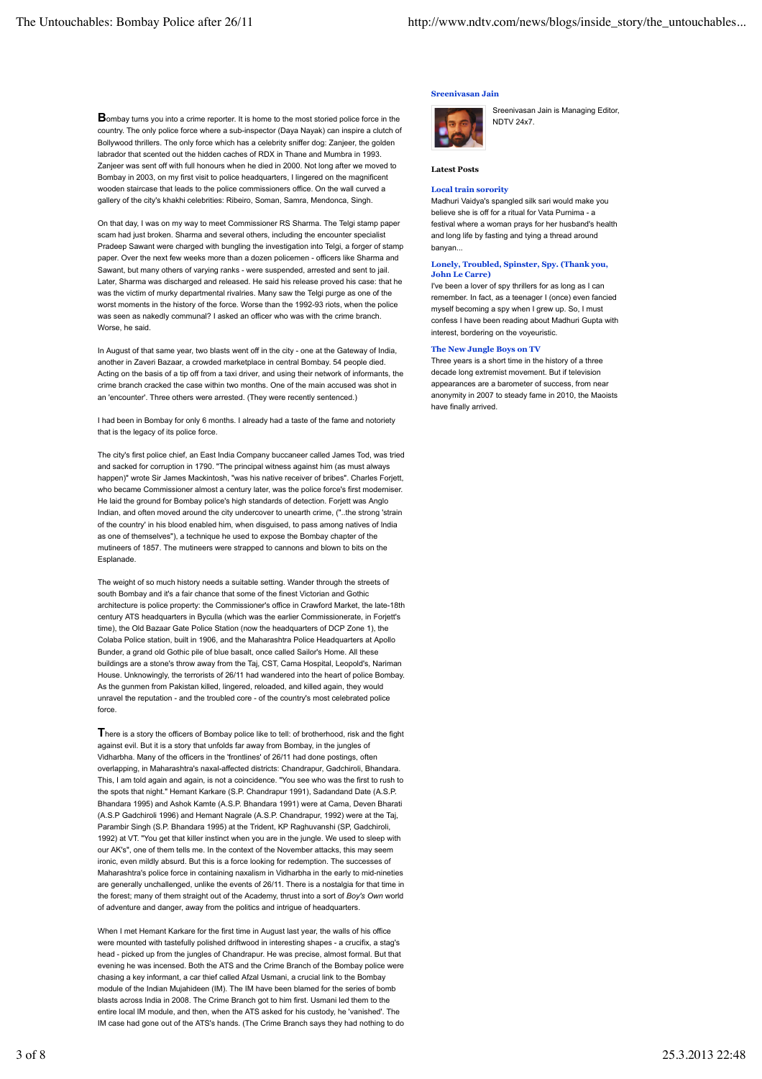**Sreenivasan Jain**

**B**ombay turns you into a crime reporter. It is home to the most storied police force in the country. The only police force where a sub-inspector (Daya Nayak) can inspire a clutch of Bollywood thrillers. The only force which has a celebrity sniffer dog: Zanjeer, the golden labrador that scented out the hidden caches of RDX in Thane and Mumbra in 1993. Zanjeer was sent off with full honours when he died in 2000. Not long after we moved to Bombay in 2003, on my first visit to police headquarters, I lingered on the magnificent wooden staircase that leads to the police commissioners office. On the wall curved a gallery of the city's khakhi celebrities: Ribeiro, Soman, Samra, Mendonca, Singh.

On that day, I was on my way to meet Commissioner RS Sharma. The Telgi stamp paper scam had just broken. Sharma and several others, including the encounter specialist Pradeep Sawant were charged with bungling the investigation into Telgi, a forger of stamp paper. Over the next few weeks more than a dozen policemen - officers like Sharma and Sawant, but many others of varying ranks - were suspended, arrested and sent to jail. Later, Sharma was discharged and released. He said his release proved his case: that he was the victim of murky departmental rivalries. Many saw the Telgi purge as one of the worst moments in the history of the force. Worse than the 1992-93 riots, when the police was seen as nakedly communal? I asked an officer who was with the crime branch Worse, he said.

In August of that same year, two blasts went off in the city - one at the Gateway of India another in Zaveri Bazaar, a crowded marketplace in central Bombay. 54 people died. Acting on the basis of a tip off from a taxi driver, and using their network of informants, the crime branch cracked the case within two months. One of the main accused was shot in an 'encounter'. Three others were arrested. (They were recently sentenced.)

I had been in Bombay for only 6 months. I already had a taste of the fame and notoriety that is the legacy of its police force

The city's first police chief, an East India Company buccaneer called James Tod, was tried and sacked for corruption in 1790. "The principal witness against him (as must always happen)" wrote Sir James Mackintosh, "was his native receiver of bribes". Charles Forjett, who became Commissioner almost a century later, was the police force's first moderniser. He laid the ground for Bombay police's high standards of detection. Forjett was Anglo Indian, and often moved around the city undercover to unearth crime, ("..the strong 'strain of the country' in his blood enabled him, when disguised, to pass among natives of India as one of themselves"), a technique he used to expose the Bombay chapter of the mutineers of 1857. The mutineers were strapped to cannons and blown to bits on the Esplanade

The weight of so much history needs a suitable setting. Wander through the streets of south Bombay and it's a fair chance that some of the finest Victorian and Gothic architecture is police property: the Commissioner's office in Crawford Market, the late-18th century ATS headquarters in Byculla (which was the earlier Commissionerate, in Forjett's time), the Old Bazaar Gate Police Station (now the headquarters of DCP Zone 1), the Colaba Police station, built in 1906, and the Maharashtra Police Headquarters at Apollo Bunder, a grand old Gothic pile of blue basalt, once called Sailor's Home. All these buildings are a stone's throw away from the Taj, CST, Cama Hospital, Leopold's, Nariman House. Unknowingly, the terrorists of 26/11 had wandered into the heart of police Bombay. As the gunmen from Pakistan killed, lingered, reloaded, and killed again, they would unravel the reputation - and the troubled core - of the country's most celebrated police force.

**T**here is a story the officers of Bombay police like to tell: of brotherhood, risk and the fight against evil. But it is a story that unfolds far away from Bombay, in the jungles of Vidharbha. Many of the officers in the 'frontlines' of 26/11 had done postings, often overlapping, in Maharashtra's naxal-affected districts: Chandrapur, Gadchiroli, Bhandara. This, I am told again and again, is not a coincidence. "You see who was the first to rush to the spots that night." Hemant Karkare (S.P. Chandrapur 1991), Sadandand Date (A.S.P. Bhandara 1995) and Ashok Kamte (A.S.P. Bhandara 1991) were at Cama, Deven Bharati (A.S.P Gadchiroli 1996) and Hemant Nagrale (A.S.P. Chandrapur, 1992) were at the Taj, Parambir Singh (S.P. Bhandara 1995) at the Trident, KP Raghuvanshi (SP, Gadchiroli, 1992) at VT. "You get that killer instinct when you are in the jungle. We used to sleep with our AK's", one of them tells me. In the context of the November attacks, this may seem ironic, even mildly absurd. But this is a force looking for redemption. The successes of Maharashtra's police force in containing naxalism in Vidharbha in the early to mid-nineties are generally unchallenged, unlike the events of 26/11. There is a nostalgia for that time in the forest; many of them straight out of the Academy, thrust into a sort of *Boy's Own* world of adventure and danger, away from the politics and intrigue of headquarters.

When I met Hemant Karkare for the first time in August last year, the walls of his office were mounted with tastefully polished driftwood in interesting shapes - a crucifix, a stag's head - picked up from the jungles of Chandrapur. He was precise, almost formal. But that evening he was incensed. Both the ATS and the Crime Branch of the Bombay police were chasing a key informant, a car thief called Afzal Usmani, a crucial link to the Bombay module of the Indian Mujahideen (IM). The IM have been blamed for the series of bomb blasts across India in 2008. The Crime Branch got to him first. Usmani led them to the entire local IM module, and then, when the ATS asked for his custody, he 'vanished'. The IM case had gone out of the ATS's hands. (The Crime Branch says they had nothing to do

# Sreenivasan Jain is Managing Editor,



NDTV 24x7.

# **Latest Posts**

# **Local train sorority**

Madhuri Vaidya's spangled silk sari would make you believe she is off for a ritual for Vata Purnima - a festival where a woman prays for her husband's health and long life by fasting and tying a thread around banyan...

# **Lonely, Troubled, Spinster, Spy. (Thank you, John Le Carre)**

I've been a lover of spy thrillers for as long as I can remember. In fact, as a teenager I (once) even fancied myself becoming a spy when I grew up. So, I must confess I have been reading about Madhuri Gupta with interest, bordering on the voyeuristic.

# **The New Jungle Boys on TV**

Three years is a short time in the history of a three decade long extremist movement. But if television appearances are a barometer of success, from near anonymity in 2007 to steady fame in 2010, the Maoists have finally arrived.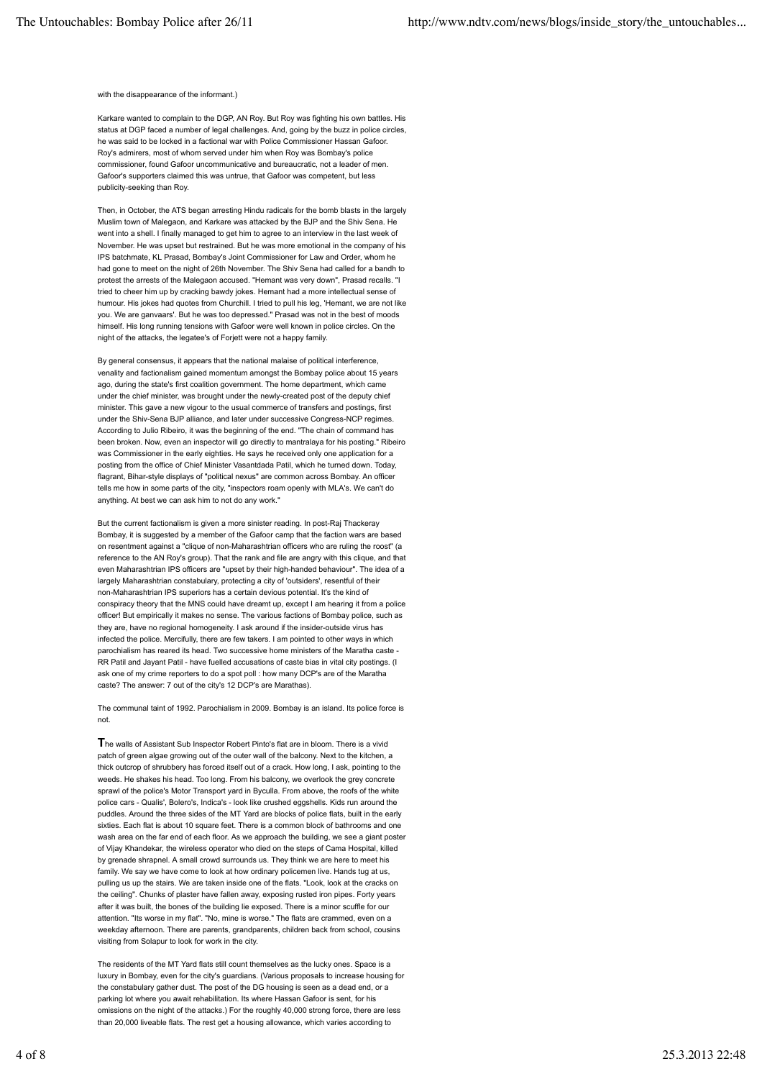with the disappearance of the informant.)

Karkare wanted to complain to the DGP, AN Roy. But Roy was fighting his own battles. His status at DGP faced a number of legal challenges. And, going by the buzz in police circles, he was said to be locked in a factional war with Police Commissioner Hassan Gafoor. Roy's admirers, most of whom served under him when Roy was Bombay's police commissioner, found Gafoor uncommunicative and bureaucratic, not a leader of men. Gafoor's supporters claimed this was untrue, that Gafoor was competent, but less publicity-seeking than Roy.

Then, in October, the ATS began arresting Hindu radicals for the bomb blasts in the largely Muslim town of Malegaon, and Karkare was attacked by the BJP and the Shiv Sena. He went into a shell. I finally managed to get him to agree to an interview in the last week of November. He was upset but restrained. But he was more emotional in the company of his IPS batchmate, KL Prasad, Bombay's Joint Commissioner for Law and Order, whom he had gone to meet on the night of 26th November. The Shiv Sena had called for a bandh to protest the arrests of the Malegaon accused. "Hemant was very down", Prasad recalls. "I tried to cheer him up by cracking bawdy jokes. Hemant had a more intellectual sense of humour. His jokes had quotes from Churchill. I tried to pull his leg, 'Hemant, we are not like you. We are ganvaars'. But he was too depressed." Prasad was not in the best of moods himself. His long running tensions with Gafoor were well known in police circles. On the night of the attacks, the legatee's of Forjett were not a happy family.

By general consensus, it appears that the national malaise of political interference, venality and factionalism gained momentum amongst the Bombay police about 15 years ago, during the state's first coalition government. The home department, which came under the chief minister, was brought under the newly-created post of the deputy chief minister. This gave a new vigour to the usual commerce of transfers and postings, first under the Shiv-Sena BJP alliance, and later under successive Congress-NCP regimes. According to Julio Ribeiro, it was the beginning of the end. "The chain of command has been broken. Now, even an inspector will go directly to mantralaya for his posting." Ribeiro was Commissioner in the early eighties. He says he received only one application for a posting from the office of Chief Minister Vasantdada Patil, which he turned down. Today, flagrant, Bihar-style displays of "political nexus" are common across Bombay. An officer tells me how in some parts of the city, "inspectors roam openly with MLA's. We can't do anything. At best we can ask him to not do any work."

But the current factionalism is given a more sinister reading. In post-Raj Thackeray Bombay, it is suggested by a member of the Gafoor camp that the faction wars are based on resentment against a "clique of non-Maharashtrian officers who are ruling the roost" (a reference to the AN Roy's group). That the rank and file are angry with this clique, and that even Maharashtrian IPS officers are "upset by their high-handed behaviour". The idea of a largely Maharashtrian constabulary, protecting a city of 'outsiders', resentful of their non-Maharashtrian IPS superiors has a certain devious potential. It's the kind of conspiracy theory that the MNS could have dreamt up, except I am hearing it from a police officer! But empirically it makes no sense. The various factions of Bombay police, such as they are, have no regional homogeneity. I ask around if the insider-outside virus has infected the police. Mercifully, there are few takers. I am pointed to other ways in which parochialism has reared its head. Two successive home ministers of the Maratha caste - RR Patil and Jayant Patil - have fuelled accusations of caste bias in vital city postings. (I ask one of my crime reporters to do a spot poll : how many DCP's are of the Maratha caste? The answer: 7 out of the city's 12 DCP's are Marathas).

The communal taint of 1992. Parochialism in 2009. Bombay is an island. Its police force is not.

**T**he walls of Assistant Sub Inspector Robert Pinto's flat are in bloom. There is a vivid patch of green algae growing out of the outer wall of the balcony. Next to the kitchen, a thick outcrop of shrubbery has forced itself out of a crack. How long, I ask, pointing to the weeds. He shakes his head. Too long. From his balcony, we overlook the grey concrete sprawl of the police's Motor Transport yard in Byculla. From above, the roofs of the white police cars - Qualis', Bolero's, Indica's - look like crushed eggshells. Kids run around the puddles. Around the three sides of the MT Yard are blocks of police flats, built in the early sixties. Each flat is about 10 square feet. There is a common block of bathrooms and one wash area on the far end of each floor. As we approach the building, we see a giant poster of Vijay Khandekar, the wireless operator who died on the steps of Cama Hospital, killed by grenade shrapnel. A small crowd surrounds us. They think we are here to meet his family. We say we have come to look at how ordinary policemen live. Hands tug at us, pulling us up the stairs. We are taken inside one of the flats. "Look, look at the cracks on the ceiling". Chunks of plaster have fallen away, exposing rusted iron pipes. Forty years after it was built, the bones of the building lie exposed. There is a minor scuffle for our attention. "Its worse in my flat". "No, mine is worse." The flats are crammed, even on a weekday afternoon. There are parents, grandparents, children back from school, cousins visiting from Solapur to look for work in the city.

The residents of the MT Yard flats still count themselves as the lucky ones. Space is a luxury in Bombay, even for the city's guardians. (Various proposals to increase housing for the constabulary gather dust. The post of the DG housing is seen as a dead end, or a parking lot where you await rehabilitation. Its where Hassan Gafoor is sent, for his omissions on the night of the attacks.) For the roughly 40,000 strong force, there are less than 20,000 liveable flats. The rest get a housing allowance, which varies according to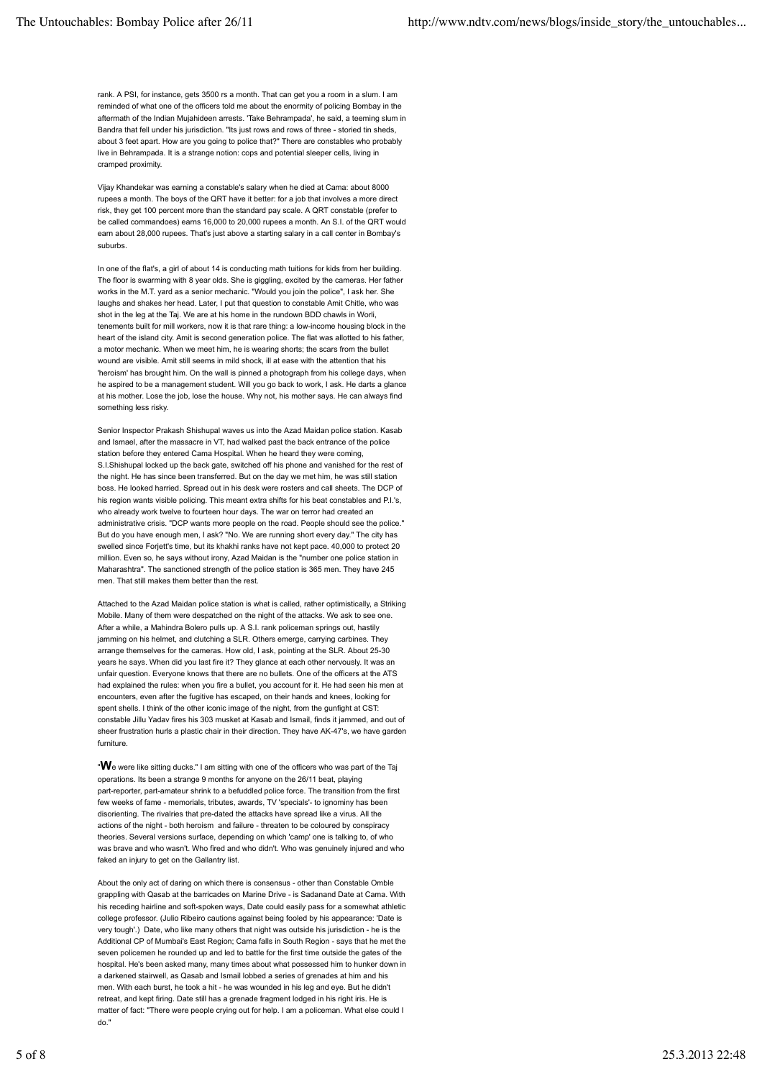rank. A PSI, for instance, gets 3500 rs a month. That can get you a room in a slum. I am reminded of what one of the officers told me about the enormity of policing Bombay in the aftermath of the Indian Mujahideen arrests. 'Take Behrampada', he said, a teeming slum in Bandra that fell under his jurisdiction. "Its just rows and rows of three - storied tin sheds, about 3 feet apart. How are you going to police that?" There are constables who probably live in Behrampada. It is a strange notion: cops and potential sleeper cells, living in cramped proximity.

Vijay Khandekar was earning a constable's salary when he died at Cama: about 8000 rupees a month. The boys of the QRT have it better: for a job that involves a more direct risk, they get 100 percent more than the standard pay scale. A QRT constable (prefer to be called commandoes) earns 16,000 to 20,000 rupees a month. An S.I. of the QRT would earn about 28,000 rupees. That's just above a starting salary in a call center in Bombay's suburbs.

In one of the flat's, a girl of about 14 is conducting math tuitions for kids from her building. The floor is swarming with 8 year olds. She is giggling, excited by the cameras. Her father works in the M.T. yard as a senior mechanic. "Would you join the police", I ask her. She laughs and shakes her head. Later, I put that question to constable Amit Chitle, who was shot in the leg at the Taj. We are at his home in the rundown BDD chawls in Worli, tenements built for mill workers, now it is that rare thing: a low-income housing block in the heart of the island city. Amit is second generation police. The flat was allotted to his father, a motor mechanic. When we meet him, he is wearing shorts; the scars from the bullet wound are visible. Amit still seems in mild shock, ill at ease with the attention that his 'heroism' has brought him. On the wall is pinned a photograph from his college days, when he aspired to be a management student. Will you go back to work, I ask. He darts a glance at his mother. Lose the job, lose the house. Why not, his mother says. He can always find something less risky.

Senior Inspector Prakash Shishupal waves us into the Azad Maidan police station. Kasab and Ismael, after the massacre in VT, had walked past the back entrance of the police station before they entered Cama Hospital. When he heard they were coming, S.I.Shishupal locked up the back gate, switched off his phone and vanished for the rest of the night. He has since been transferred. But on the day we met him, he was still station boss. He looked harried. Spread out in his desk were rosters and call sheets. The DCP of his region wants visible policing. This meant extra shifts for his beat constables and P.I.'s, who already work twelve to fourteen hour days. The war on terror had created an administrative crisis. "DCP wants more people on the road. People should see the police." But do you have enough men, I ask? "No. We are running short every day." The city has swelled since Forjett's time, but its khakhi ranks have not kept pace. 40,000 to protect 20 million. Even so, he says without irony, Azad Maidan is the "number one police station in Maharashtra". The sanctioned strength of the police station is 365 men. They have 245 men. That still makes them better than the rest.

Attached to the Azad Maidan police station is what is called, rather optimistically, a Striking Mobile. Many of them were despatched on the night of the attacks. We ask to see one. After a while, a Mahindra Bolero pulls up. A S.I. rank policeman springs out, hastily jamming on his helmet, and clutching a SLR. Others emerge, carrying carbines. They arrange themselves for the cameras. How old, I ask, pointing at the SLR. About 25-30 years he says. When did you last fire it? They glance at each other nervously. It was an unfair question. Everyone knows that there are no bullets. One of the officers at the ATS had explained the rules: when you fire a bullet, you account for it. He had seen his men at encounters, even after the fugitive has escaped, on their hands and knees, looking for spent shells. I think of the other iconic image of the night, from the gunfight at CST: constable Jillu Yadav fires his 303 musket at Kasab and Ismail, finds it jammed, and out of sheer frustration hurls a plastic chair in their direction. They have AK-47's, we have garden furniture.

"**W**e were like sitting ducks." I am sitting with one of the officers who was part of the Taj operations. Its been a strange 9 months for anyone on the 26/11 beat, playing part-reporter, part-amateur shrink to a befuddled police force. The transition from the first few weeks of fame - memorials, tributes, awards, TV 'specials'- to ignominy has been disorienting. The rivalries that pre-dated the attacks have spread like a virus. All the actions of the night - both heroism and failure - threaten to be coloured by conspiracy theories. Several versions surface, depending on which 'camp' one is talking to, of who was brave and who wasn't. Who fired and who didn't. Who was genuinely injured and who faked an injury to get on the Gallantry list.

About the only act of daring on which there is consensus - other than Constable Omble grappling with Qasab at the barricades on Marine Drive - is Sadanand Date at Cama. With his receding hairline and soft-spoken ways, Date could easily pass for a somewhat athletic college professor. (Julio Ribeiro cautions against being fooled by his appearance: 'Date is very tough'.) Date, who like many others that night was outside his jurisdiction - he is the Additional CP of Mumbai's East Region; Cama falls in South Region - says that he met the seven policemen he rounded up and led to battle for the first time outside the gates of the hospital. He's been asked many, many times about what possessed him to hunker down in a darkened stairwell, as Qasab and Ismail lobbed a series of grenades at him and his men. With each burst, he took a hit - he was wounded in his leg and eye. But he didn't retreat, and kept firing. Date still has a grenade fragment lodged in his right iris. He is matter of fact: "There were people crying out for help. I am a policeman. What else could I do."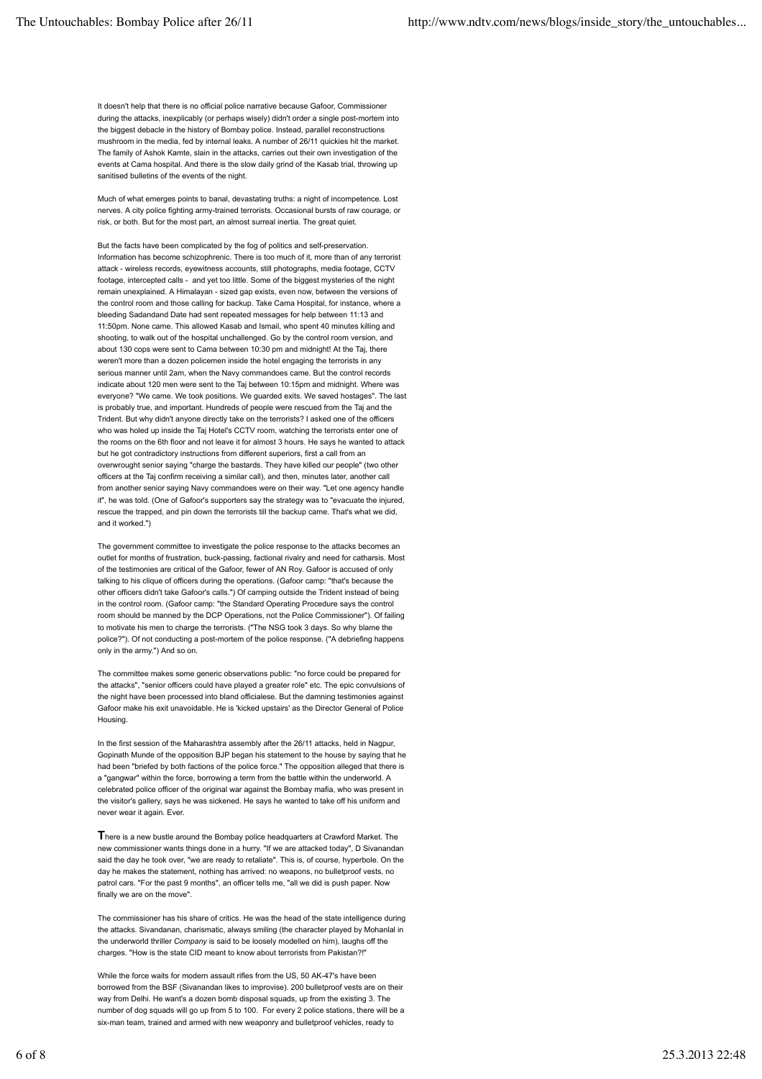It doesn't help that there is no official police narrative because Gafoor, Commissioner during the attacks, inexplicably (or perhaps wisely) didn't order a single post-mortem into the biggest debacle in the history of Bombay police. Instead, parallel reconstructions mushroom in the media, fed by internal leaks. A number of 26/11 quickies hit the market. The family of Ashok Kamte, slain in the attacks, carries out their own investigation of the events at Cama hospital. And there is the slow daily grind of the Kasab trial, throwing up sanitised bulletins of the events of the night.

Much of what emerges points to banal, devastating truths: a night of incompetence. Lost nerves. A city police fighting army-trained terrorists. Occasional bursts of raw courage, or risk, or both. But for the most part, an almost surreal inertia. The great quiet.

But the facts have been complicated by the fog of politics and self-preservation. Information has become schizophrenic. There is too much of it, more than of any terrorist attack - wireless records, eyewitness accounts, still photographs, media footage, CCTV footage, intercepted calls - and yet too little. Some of the biggest mysteries of the night remain unexplained. A Himalayan - sized gap exists, even now, between the versions of the control room and those calling for backup. Take Cama Hospital, for instance, where a bleeding Sadandand Date had sent repeated messages for help between 11:13 and 11:50pm. None came. This allowed Kasab and Ismail, who spent 40 minutes killing and shooting, to walk out of the hospital unchallenged. Go by the control room version, and about 130 cops were sent to Cama between 10:30 pm and midnight! At the Taj, there weren't more than a dozen policemen inside the hotel engaging the terrorists in any serious manner until 2am, when the Navy commandoes came. But the control records indicate about 120 men were sent to the Taj between 10:15pm and midnight. Where was everyone? "We came. We took positions. We guarded exits. We saved hostages". The last is probably true, and important. Hundreds of people were rescued from the Taj and the Trident. But why didn't anyone directly take on the terrorists? I asked one of the officers who was holed up inside the Taj Hotel's CCTV room, watching the terrorists enter one of the rooms on the 6th floor and not leave it for almost 3 hours. He says he wanted to attack but he got contradictory instructions from different superiors, first a call from an overwrought senior saying "charge the bastards. They have killed our people" (two other officers at the Taj confirm receiving a similar call), and then, minutes later, another call from another senior saying Navy commandoes were on their way. "Let one agency handle it", he was told. (One of Gafoor's supporters say the strategy was to "evacuate the injured, rescue the trapped, and pin down the terrorists till the backup came. That's what we did, and it worked.")

The government committee to investigate the police response to the attacks becomes an outlet for months of frustration, buck-passing, factional rivalry and need for catharsis. Most of the testimonies are critical of the Gafoor, fewer of AN Roy. Gafoor is accused of only talking to his clique of officers during the operations. (Gafoor camp: "that's because the other officers didn't take Gafoor's calls.") Of camping outside the Trident instead of being in the control room. (Gafoor camp: "the Standard Operating Procedure says the control room should be manned by the DCP Operations, not the Police Commissioner"). Of failing to motivate his men to charge the terrorists. ("The NSG took 3 days. So why blame the police?"). Of not conducting a post-mortem of the police response. ("A debriefing happens only in the army.") And so on.

The committee makes some generic observations public: "no force could be prepared for the attacks", "senior officers could have played a greater role" etc. The epic convulsions of the night have been processed into bland officialese. But the damning testimonies against Gafoor make his exit unavoidable. He is 'kicked upstairs' as the Director General of Police Housing.

In the first session of the Maharashtra assembly after the 26/11 attacks, held in Nagpur, Gopinath Munde of the opposition BJP began his statement to the house by saying that he had been "briefed by both factions of the police force." The opposition alleged that there is a "gangwar" within the force, borrowing a term from the battle within the underworld. A celebrated police officer of the original war against the Bombay mafia, who was present in the visitor's gallery, says he was sickened. He says he wanted to take off his uniform and never wear it again. Ever.

**T**here is a new bustle around the Bombay police headquarters at Crawford Market. The new commissioner wants things done in a hurry. "If we are attacked today", D Sivanandan said the day he took over, "we are ready to retaliate". This is, of course, hyperbole. On the day he makes the statement, nothing has arrived: no weapons, no bulletproof vests, no patrol cars. "For the past 9 months", an officer tells me, "all we did is push paper. Now finally we are on the move".

The commissioner has his share of critics. He was the head of the state intelligence during the attacks. Sivandanan, charismatic, always smiling (the character played by Mohanlal in the underworld thriller *Company* is said to be loosely modelled on him), laughs off the charges. "How is the state CID meant to know about terrorists from Pakistan?!"

While the force waits for modern assault rifles from the US, 50 AK-47's have been borrowed from the BSF (Sivanandan likes to improvise). 200 bulletproof vests are on their way from Delhi. He want's a dozen bomb disposal squads, up from the existing 3. The number of dog squads will go up from 5 to 100. For every 2 police stations, there will be a six-man team, trained and armed with new weaponry and bulletproof vehicles, ready to